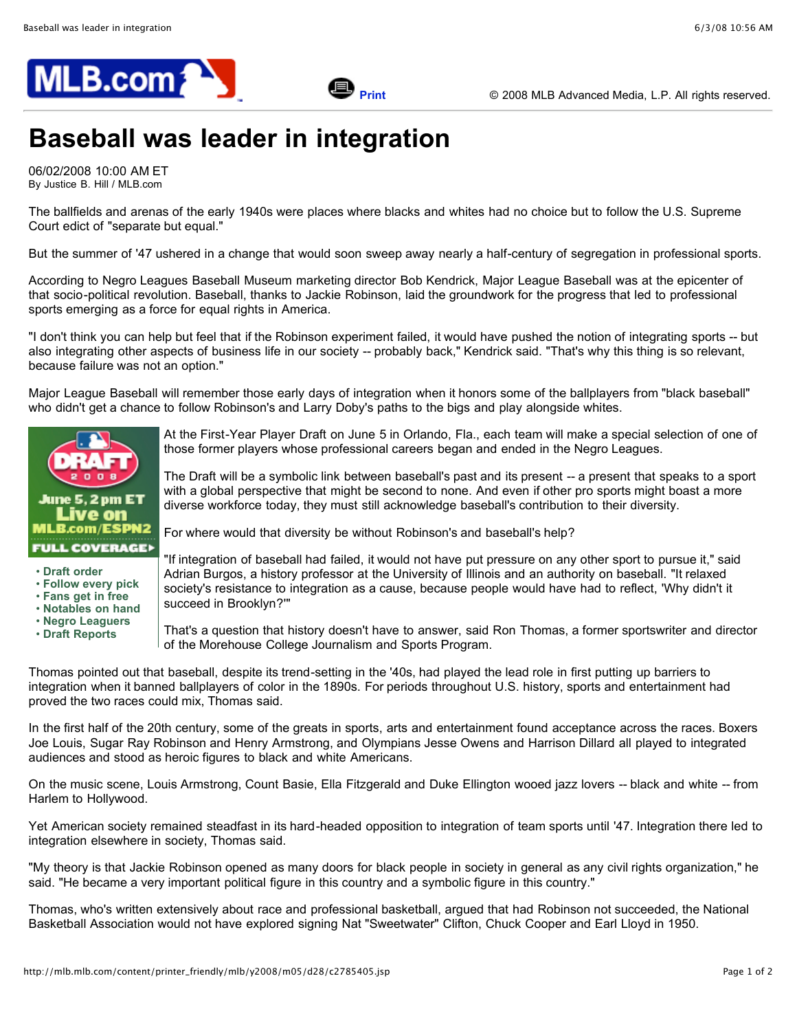

## **Baseball was leader in integration**

06/02/2008 10:00 AM ET By Justice B. Hill / MLB.com

The ballfields and arenas of the early 1940s were places where blacks and whites had no choice but to follow the U.S. Supreme Court edict of "separate but equal."

But the summer of '47 ushered in a change that would soon sweep away nearly a half-century of segregation in professional sports.

According to Negro Leagues Baseball Museum marketing director Bob Kendrick, Major League Baseball was at the epicenter of that socio-political revolution. Baseball, thanks to Jackie Robinson, laid the groundwork for the progress that led to professional sports emerging as a force for equal rights in America.

"I don't think you can help but feel that if the Robinson experiment failed, it would have pushed the notion of integrating sports -- but also integrating other aspects of business life in our society -- probably back," Kendrick said. "That's why this thing is so relevant, because failure was not an option."

Major League Baseball will remember those early days of integration when it honors some of the ballplayers from "black baseball" who didn't get a chance to follow Robinson's and Larry Doby's paths to the bigs and play alongside whites.



- **Draft [order](http://mlb.mlb.com/news/article.jsp?ymd=20080503&content_id=2633626&vkey=draft2008&fext=.jsp)**
- **[Follow](http://mlb.mlb.com/news/article.jsp?ymd=20080503&content_id=2633403&vkey=draft2008&fext=.jsp) every pick**
- **[Fans](http://mlb.mlb.com/news/article.jsp?ymd=20080522&content_id=2750057&vkey=draft2008&fext=.jsp) get in free**
- **[Notables](http://mlb.mlb.com/news/article.jsp?ymd=20080519&content_id=2730487&vkey=draft2008&fext=.jsp) on hand**
- **Negro [Leaguers](http://mlb.mlb.com/news/article.jsp?ymd=20080529&content_id=2793297&vkey=draft2008&fext=.jsp)**
- **Draft [Reports](http://mlb.mlb.com/mlb/events/draft/y2008/reports.jsp)**

At the First-Year Player Draft on June 5 in Orlando, Fla., each team will make a special selection of one of those former players whose professional careers began and ended in the Negro Leagues.

The Draft will be a symbolic link between baseball's past and its present -- a present that speaks to a sport with a global perspective that might be second to none. And even if other pro sports might boast a more diverse workforce today, they must still acknowledge baseball's contribution to their diversity.

For where would that diversity be without Robinson's and baseball's help?

"If integration of baseball had failed, it would not have put pressure on any other sport to pursue it," said Adrian Burgos, a history professor at the University of Illinois and an authority on baseball. "It relaxed society's resistance to integration as a cause, because people would have had to reflect, 'Why didn't it succeed in Brooklyn?'"

That's a question that history doesn't have to answer, said Ron Thomas, a former sportswriter and director of the Morehouse College Journalism and Sports Program.

Thomas pointed out that baseball, despite its trend-setting in the '40s, had played the lead role in first putting up barriers to integration when it banned ballplayers of color in the 1890s. For periods throughout U.S. history, sports and entertainment had proved the two races could mix, Thomas said.

In the first half of the 20th century, some of the greats in sports, arts and entertainment found acceptance across the races. Boxers Joe Louis, Sugar Ray Robinson and Henry Armstrong, and Olympians Jesse Owens and Harrison Dillard all played to integrated audiences and stood as heroic figures to black and white Americans.

On the music scene, Louis Armstrong, Count Basie, Ella Fitzgerald and Duke Ellington wooed jazz lovers -- black and white -- from Harlem to Hollywood.

Yet American society remained steadfast in its hard-headed opposition to integration of team sports until '47. Integration there led to integration elsewhere in society, Thomas said.

"My theory is that Jackie Robinson opened as many doors for black people in society in general as any civil rights organization," he said. "He became a very important political figure in this country and a symbolic figure in this country."

Thomas, who's written extensively about race and professional basketball, argued that had Robinson not succeeded, the National Basketball Association would not have explored signing Nat "Sweetwater" Clifton, Chuck Cooper and Earl Lloyd in 1950.